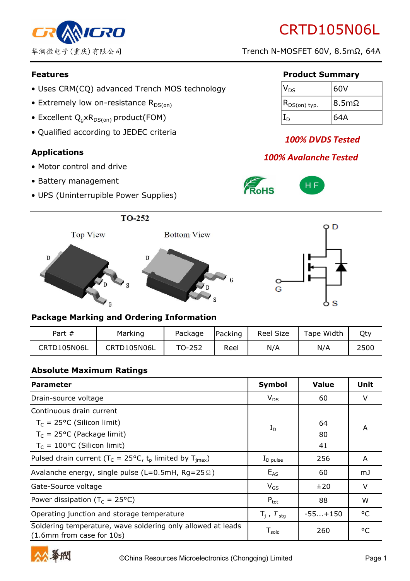

# CRTD105N06L

华润微电子(重庆)有限公司 Trench N-MOSFET 60V, 8.5mΩ, 64A

- Uses CRM(CQ) advanced Trench MOS technology
- Extremely low on-resistance  $R_{DS(on)}$
- Excellent  $Q_q \times R_{DS(on)}$  product(FOM)
- Qualified according to JEDEC criteria

#### **Applications**

- Motor control and drive
- Battery management
- UPS (Uninterrupible Power Supplies)

#### **Features Product Summary**

| $\mathsf{V}_{\mathsf{DS}}$  | 60V                    |
|-----------------------------|------------------------|
| $(R_{DS(on) \text{ typ.}})$ | $\mathsf{18.5m}\Omega$ |
|                             | 64A                    |

# *100% DVDS Tested*

# *100% Avalanche Tested*



 $\circ$ G





#### **Package Marking and Ordering Information**

| Part $#$    | Marking     | Package | Packing | <b>Reel Size</b> | Tape Width | Qty  |
|-------------|-------------|---------|---------|------------------|------------|------|
| CRTD105N06L | CRTD105N06L | TO-252  | Reel    | N/A              | N/A        | 2500 |

#### **Absolute Maximum Ratings**

| <b>Parameter</b>                                                                         | Symbol                        | <b>Value</b> | Unit    |
|------------------------------------------------------------------------------------------|-------------------------------|--------------|---------|
| Drain-source voltage                                                                     | $V_{DS}$                      | 60           | $\vee$  |
| Continuous drain current                                                                 |                               |              |         |
| $T_c = 25$ °C (Silicon limit)                                                            | $I_D$                         | 64           | A       |
| $T_c$ = 25°C (Package limit)                                                             |                               | 80           |         |
| $T_c = 100$ °C (Silicon limit)                                                           |                               | 41           |         |
| Pulsed drain current ( $T_c = 25^{\circ}C$ , $t_p$ limited by $T_{\text{imax}}$ )        | $I_{\text{D pulse}}$          | 256          | A       |
| Avalanche energy, single pulse (L=0.5mH, Rg=25 $\Omega$ )                                | $E_{AS}$                      | 60           | mJ      |
| Gate-Source voltage                                                                      | $V_{GS}$                      | ±20          | $\vee$  |
| Power dissipation ( $T_c = 25^{\circ}C$ )                                                | $P_{\text{tot}}$              | 88           | W       |
| Operating junction and storage temperature                                               | $T_i$ , $T_{\text{stg}}$      | $-55+150$    | °C      |
| Soldering temperature, wave soldering only allowed at leads<br>(1.6mm from case for 10s) | ${\mathsf T}_{\mathsf{gold}}$ | 260          | $\circ$ |

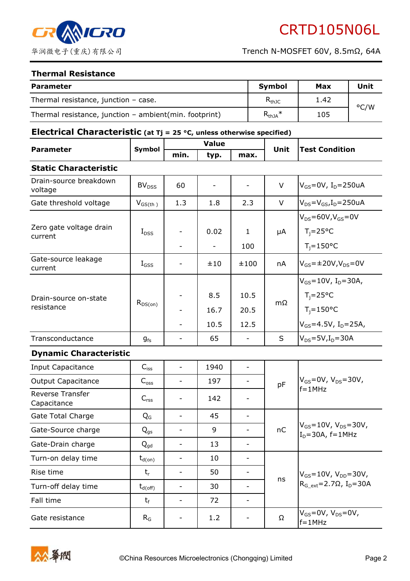

#### **Thermal Resistance**

| <b>Parameter</b>                                       | <b>Symbol</b>                | Max  | Unit |
|--------------------------------------------------------|------------------------------|------|------|
| Thermal resistance, junction $-$ case.                 | $\mathsf{R}_{\mathsf{thJC}}$ | 1.42 | °C/W |
| Thermal resistance, junction - ambient(min. footprint) | $R_{thJA}$ *                 | 105  |      |

# **Electrical Characteristic (at Tj = 25 °C, unless otherwise specified)**

| <b>Parameter</b>                    | Symbol             | <b>Value</b>             |                                  |                              | <b>Unit</b> | <b>Test Condition</b>                                                                                                    |  |
|-------------------------------------|--------------------|--------------------------|----------------------------------|------------------------------|-------------|--------------------------------------------------------------------------------------------------------------------------|--|
|                                     |                    | min.                     | typ.                             | max.                         |             |                                                                                                                          |  |
| <b>Static Characteristic</b>        |                    |                          |                                  |                              |             |                                                                                                                          |  |
| Drain-source breakdown<br>voltage   | BV <sub>DSS</sub>  | 60                       |                                  |                              | $\vee$      | $V_{GS} = 0V$ , I <sub>D</sub> =250uA                                                                                    |  |
| Gate threshold voltage              | $V_{GS(th)}$       | 1.3                      | 1.8                              | 2.3                          | $\vee$      | $V_{DS} = V_{GS}I_D = 250uA$                                                                                             |  |
| Zero gate voltage drain<br>current  | $I_{DSS}$          |                          | 0.02<br>$\overline{\phantom{a}}$ | $\mathbf{1}$<br>100          | μA          | $V_{DS} = 60V, V_{GS} = 0V$<br>$T_i = 25^{\circ}C$<br>$T_i = 150$ °C                                                     |  |
| Gate-source leakage<br>current      | $I_{GSS}$          |                          | ±10                              | ±100                         | nA          | $V_{GS} = \pm 20V, V_{DS} = 0V$                                                                                          |  |
| Drain-source on-state<br>resistance | $R_{DS(on)}$       |                          | 8.5<br>16.7<br>10.5              | 10.5<br>20.5<br>12.5         | $m\Omega$   | $V_{GS} = 10V$ , I <sub>D</sub> =30A,<br>$T_i = 25^{\circ}C$<br>$T_i = 150$ °C<br>$V_{GS} = 4.5V$ , I <sub>D</sub> =25A, |  |
| Transconductance                    | $g_{fs}$           |                          | 65                               | $\overline{\phantom{a}}$     | S           | $V_{DS} = 5V$ , $I_D = 30A$                                                                                              |  |
| <b>Dynamic Characteristic</b>       |                    |                          |                                  |                              |             |                                                                                                                          |  |
| Input Capacitance                   | $C_{\mathsf{iss}}$ | $\overline{\phantom{0}}$ | 1940                             | $\overline{\phantom{a}}$     |             | $V_{GS} = 0V$ , $V_{DS} = 30V$ ,<br>$f = 1$ MHz                                                                          |  |
| <b>Output Capacitance</b>           | $C_{\rm{oss}}$     | $\overline{\phantom{0}}$ | 197                              | $\overline{\phantom{a}}$     | pF          |                                                                                                                          |  |
| Reverse Transfer<br>Capacitance     | $C_{\mathsf{rss}}$ | -                        | 142                              | $\qquad \qquad \blacksquare$ |             |                                                                                                                          |  |
| <b>Gate Total Charge</b>            | $Q_{G}$            | $\overline{\phantom{0}}$ | 45                               | $\overline{\phantom{a}}$     |             | $V_{GS} = 10V$ , $V_{DS} = 30V$ ,<br>$I_D = 30A$ , f=1MHz                                                                |  |
| Gate-Source charge                  | $Q_{gs}$           |                          | 9                                | $\overline{\phantom{a}}$     | nC          |                                                                                                                          |  |
| Gate-Drain charge                   | $Q_{\sf gd}$       |                          | 13                               |                              |             |                                                                                                                          |  |
| Turn-on delay time                  | $t_{d(on)}$        | $\overline{\phantom{0}}$ | 10                               | $\overline{\phantom{0}}$     |             | $V_{GS} = 10V$ , $V_{DD} = 30V$ ,<br>$R_{Gext} = 2.7 \Omega$ , I <sub>D</sub> =30A                                       |  |
| Rise time                           | $t_{r}$            | $\overline{\phantom{0}}$ | 50                               |                              |             |                                                                                                                          |  |
| Turn-off delay time                 | $t_{d(off)}$       | $\overline{\phantom{0}}$ | 30                               | $\overline{\phantom{a}}$     | ns          |                                                                                                                          |  |
| Fall time                           | $t_{\rm f}$        | -                        | 72                               | -                            |             |                                                                                                                          |  |
| Gate resistance                     | $R_G$              |                          | 1.2                              |                              | Ω           | $V_{GS}$ =0V, $V_{DS}$ =0V,<br>$f = 1$ MHz                                                                               |  |

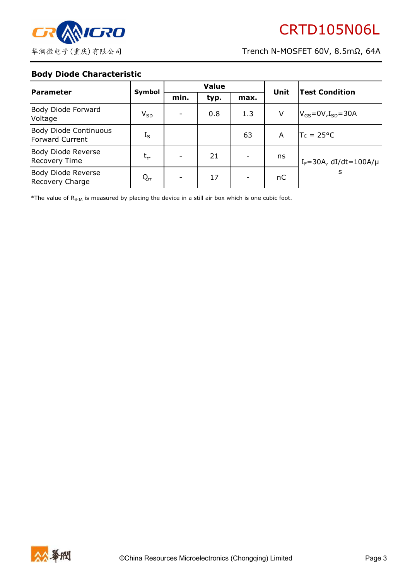

### **Body Diode Characteristic**

| <b>Parameter</b>                                | Symbol   | <b>Value</b> |      |      | Unit | <b>Test Condition</b>             |
|-------------------------------------------------|----------|--------------|------|------|------|-----------------------------------|
|                                                 |          | min.         | typ. | max. |      |                                   |
| Body Diode Forward<br>Voltage                   | $V_{SD}$ |              | 0.8  | 1.3  | V    | $V_{GS}$ =0V,I <sub>SD</sub> =30A |
| Body Diode Continuous<br><b>Forward Current</b> | $I_S$    |              |      | 63   | A    | $TC = 25^{\circ}C$                |
| Body Diode Reverse<br>Recovery Time             | $t_{rr}$ |              | 21   | ۰    | ns   | $I_F = 30A$ , dI/dt=100A/ $\mu$   |
| Body Diode Reverse<br>Recovery Charge           | $Q_{rr}$ |              | 17   | -    | nC   | s                                 |

\*The value of  $R_{thJA}$  is measured by placing the device in a still air box which is one cubic foot.

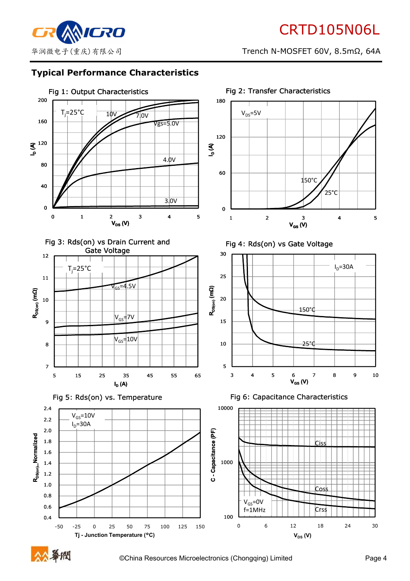

# **Typical Performance Characteristics**



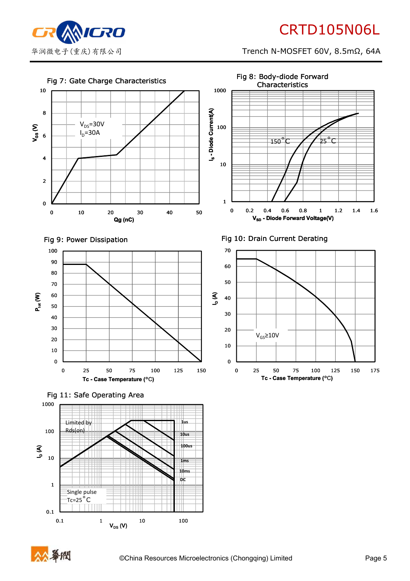

# CRTD105N06L

华润微电子(重庆)有限公司 Trench N-MOSFET 60V, 8.5mΩ, 64A



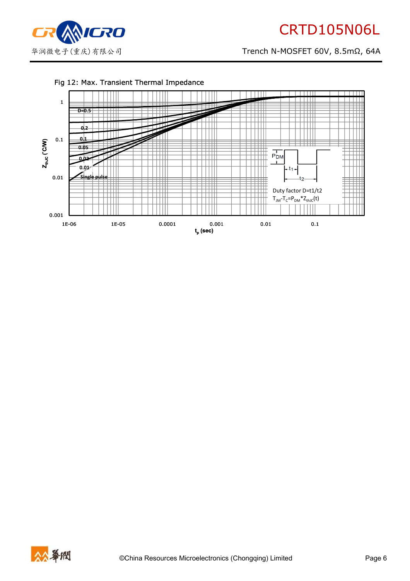

#### Fig 12: Max. Transient Thermal Impedance



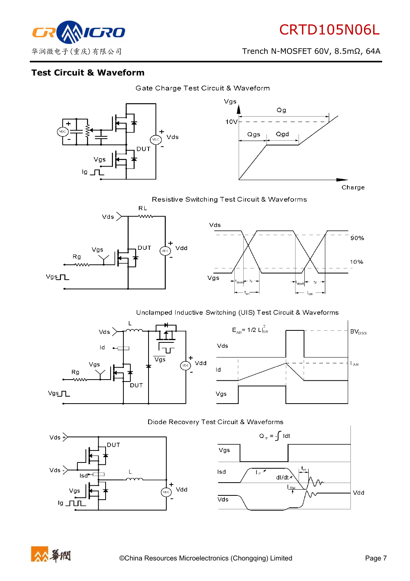90%

10%

华润微电子(重庆)有限公司 Trench N-MOSFET 60V, 8.5mΩ, 64A



# **Test Circuit & Waveform**





Resistive Switching Test Circuit & Waveforms



#### Unclamped Inductive Switching (UIS) Test Circuit & Waveforms











Vdd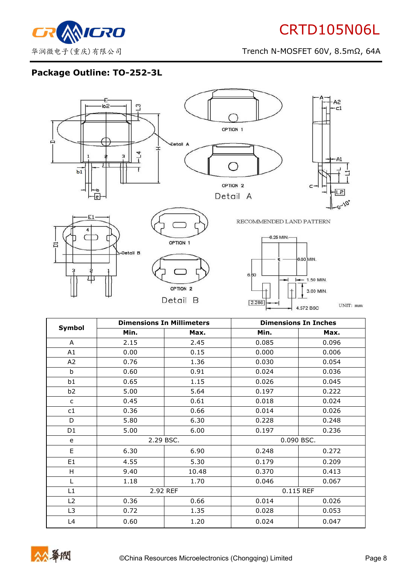

# **Package Outline: TO-252-3L**



|                | <b>Dimensions In Millimeters</b> |       | <b>Dimensions In Inches</b> |       |  |
|----------------|----------------------------------|-------|-----------------------------|-------|--|
| Symbol         | Min.                             | Max.  | Min.                        | Max.  |  |
| A              | 2.15                             | 2.45  | 0.085                       | 0.096 |  |
| A1             | 0.00                             | 0.15  | 0.000                       | 0.006 |  |
| A2             | 0.76                             | 1.36  | 0.030                       | 0.054 |  |
| b              | 0.60                             | 0.91  | 0.024                       | 0.036 |  |
| b1             | 0.65                             | 1.15  | 0.026                       | 0.045 |  |
| b <sub>2</sub> | 5.00                             | 5.64  | 0.197                       | 0.222 |  |
| $\mathsf{C}$   | 0.45                             | 0.61  | 0.018                       | 0.024 |  |
| c1             | 0.36                             | 0.66  | 0.014                       | 0.026 |  |
| D              | 5.80                             | 6.30  | 0.228                       | 0.248 |  |
| D1             | 5.00                             | 6.00  | 0.197                       | 0.236 |  |
| e              | 2.29 BSC.                        |       | 0.090 BSC.                  |       |  |
| E.             | 6.30                             | 6.90  | 0.248                       | 0.272 |  |
| E <sub>1</sub> | 4.55                             | 5.30  | 0.179                       | 0.209 |  |
| H              | 9.40                             | 10.48 | 0.370                       | 0.413 |  |
| Г              | 1.18                             | 1.70  | 0.046                       | 0.067 |  |
| L1             | 2.92 REF                         |       | 0.115 REF                   |       |  |
| L2             | 0.36                             | 0.66  | 0.014                       | 0.026 |  |
| L3             | 0.72                             | 1.35  | 0.028                       | 0.053 |  |
| L4             | 0.60                             | 1.20  | 0.024                       | 0.047 |  |